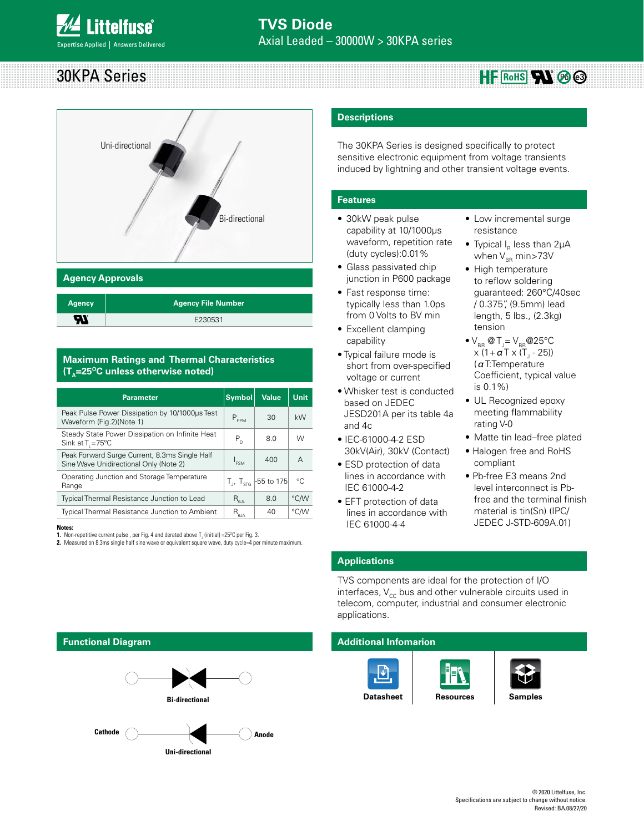# 30KPA Series  $HF$  RoHS**A**  $\otimes$

# Bi-directional Uni-directional

#### **Agency Approvals**

| <b>Agency</b> | Agency File Number |
|---------------|--------------------|
| RV.           | E230531            |

#### **Maximum Ratings and Thermal Characteristics (T<sub>a</sub>=25<sup>o</sup>C unless otherwise noted)**

| <b>Parameter</b>                                                                        | <b>Symbol</b>                                | <b>Value</b>                          | Unit         |
|-----------------------------------------------------------------------------------------|----------------------------------------------|---------------------------------------|--------------|
| Peak Pulse Power Dissipation by 10/1000µs Test<br>Waveform (Fig.2)(Note 1)              | $P_{PPM}$                                    | 30                                    | kW           |
| Steady State Power Dissipation on Infinite Heat<br>Sink at $T_{1} = 75^{\circ}$ C       | $P_{n}$                                      | 8.0                                   | W            |
| Peak Forward Surge Current, 8.3ms Single Half<br>Sine Wave Unidirectional Only (Note 2) | $I_{FSM}$                                    | 400                                   | A            |
| Operating Junction and Storage Temperature<br>Range                                     |                                              | $T_{1}$ , $T_{\text{src}}$ -55 to 175 | $^{\circ}$ C |
| Typical Thermal Resistance Junction to Lead                                             | $R_{\rm all}$                                | 8.0                                   | °C/W         |
| <b>Typical Thermal Resistance Junction to Ambient</b>                                   | $\mathsf{R}_{_{\boldsymbol{0} \mathsf{JA}}}$ | 40                                    | °C/W         |

#### **Notes:**

**1.** Non-repetitive current pulse , per Fig. 4 and derated above  $\mathsf{T}_\mathsf{J}$  (initial) =25°C per Fig. 3.

**2.** Measured on 8.3ms single half sine wave or equivalent square wave, duty cycle=4 per minute maximum.

#### **Descriptions**

The 30KPA Series is designed specifically to protect sensitive electronic equipment from voltage transients induced by lightning and other transient voltage events.

#### **Features**

- 30kW peak pulse capability at 10/1000μs waveform, repetition rate (duty cycles):0.01%
- Glass passivated chip junction in P600 package
- Fast response time: typically less than 1.0ps from 0 Volts to BV min
- Excellent clamping capability
- Typical failure mode is short from over-specified voltage or current
- Whisker test is conducted based on JEDEC JESD201A per its table 4a and 4c
- IEC-61000-4-2 ESD 30kV(Air), 30kV (Contact)
- ESD protection of data lines in accordance with IEC 61000-4-2
- EFT protection of data lines in accordance with IEC 61000-4-4
- Low incremental surge resistance
- Typical  $I_R$  less than 2µA when  $V_{BB}$  min $>73V$
- High temperature to reflow soldering guaranteed: 260°C/40sec / 0.375", (9.5mm) lead length, 5 lbs., (2.3kg) tension
- $\bullet$  V<sub>BR</sub> @ T<sub>J</sub>= V<sub>BR</sub> @ 25°C x (1+ **α** Τ x (Τ<sub>յ</sub> - 25)) (αT:Temperature Coefficient, typical value is 0.1%)
- UL Recognized epoxy meeting flammability rating V-0
- Matte tin lead–free plated
- Halogen free and RoHS compliant
- Pb-free E3 means 2nd level interconnect is Pbfree and the terminal finish material is tin(Sn) (IPC/ JEDEC J-STD-609A.01)

# **Applications**

TVS components are ideal for the protection of I/O interfaces,  $V_{cc}$  bus and other vulnerable circuits used in telecom, computer, industrial and consumer electronic applications.

# **Additional Infomarion**



#### **Functional Diagram**

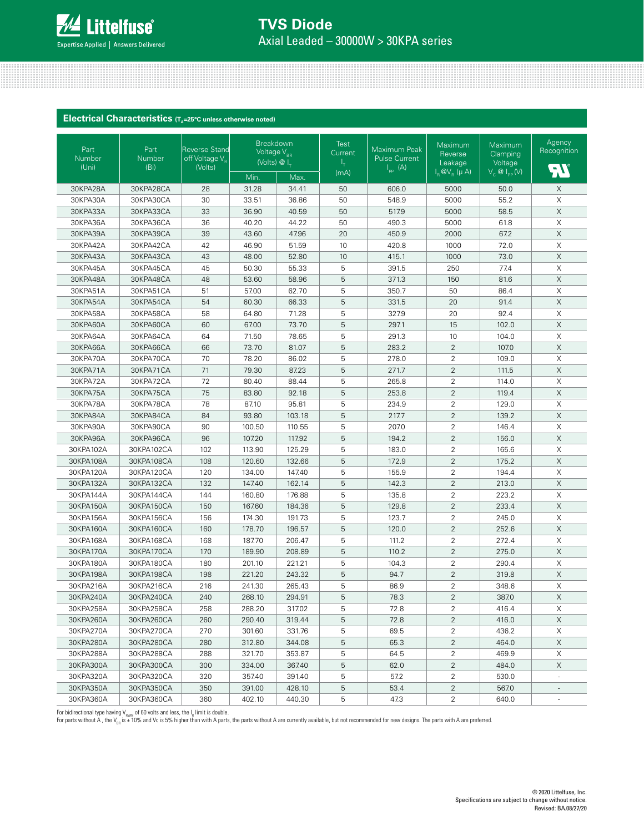

| Electrical Characteristics (T <sub>A</sub> =25°C unless otherwise noted) |                                     |                                                               |                                                             |                  |                                   |                                                             |                               |                                                            |                           |
|--------------------------------------------------------------------------|-------------------------------------|---------------------------------------------------------------|-------------------------------------------------------------|------------------|-----------------------------------|-------------------------------------------------------------|-------------------------------|------------------------------------------------------------|---------------------------|
| Part<br>Number<br>(Uni)                                                  | Part<br>Number<br>(B <sub>i</sub> ) | <b>Reverse Stand</b><br>off Voltage V <sub>p</sub><br>(Volts) | Breakdown<br>Voltage V <sub>BR</sub><br>(Volts) $@I_{\tau}$ |                  | Test<br>Current<br>I <sub>T</sub> | Maximum Peak<br><b>Pulse Current</b><br>$I_{\text{pp}}$ (A) | Maximum<br>Reverse<br>Leakage | Maximum<br>Clamping<br>Voltage<br>$V_c \otimes I_{PP} (V)$ | Agency<br>Recognition     |
|                                                                          |                                     |                                                               | Min.                                                        | Max.             | (mA)                              |                                                             | $I_R$ @ $V_R$ ( $\mu$ A)      |                                                            |                           |
| 30KPA28A                                                                 | 30KPA28CA                           | 28                                                            | 31.28                                                       | 34.41            | 50                                | 606.0                                                       | 5000                          | 50.0                                                       | X                         |
| 30KPA30A                                                                 | 30KPA30CA                           | 30                                                            | 33.51                                                       | 36.86            | 50                                | 548.9                                                       | 5000                          | 55.2                                                       | X                         |
| 30KPA33A                                                                 | 30KPA33CA                           | 33                                                            | 36.90                                                       | 40.59            | 50                                | 517.9                                                       | 5000                          | 58.5                                                       | X                         |
| 30KPA36A                                                                 | 30KPA36CA                           | 36                                                            | 40.20                                                       | 44.22            | 50                                | 490.3                                                       | 5000                          | 61.8                                                       | $\boldsymbol{\times}$     |
| 30KPA39A                                                                 | 30KPA39CA                           | 39                                                            | 43.60                                                       | 47.96            | 20                                | 450.9                                                       | 2000                          | 67.2                                                       | $\mathsf X$               |
| 30KPA42A                                                                 | 30KPA42CA                           | 42                                                            | 46.90                                                       | 51.59            | 10                                | 420.8                                                       | 1000                          | 72.0                                                       | $\boldsymbol{\times}$     |
| 30KPA43A                                                                 | 30KPA43CA                           | 43                                                            | 48.00                                                       | 52.80            | 10                                | 415.1                                                       | 1000                          | 73.0                                                       | $\mathsf X$               |
| 30KPA45A                                                                 | 30KPA45CA                           | 45                                                            | 50.30                                                       | 55.33            | 5                                 | 391.5                                                       | 250                           | 77.4                                                       | $\boldsymbol{\times}$     |
| 30KPA48A                                                                 | 30KPA48CA                           | 48                                                            | 53.60                                                       | 58.96            | 5                                 | 371.3                                                       | 150                           | 81.6                                                       | $\mathsf X$               |
| 30KPA51A                                                                 | 30KPA51CA                           | 51                                                            | 57.00                                                       | 62.70            | 5                                 | 350.7                                                       | 50                            | 86.4                                                       | $\boldsymbol{\times}$     |
| 30KPA54A                                                                 | 30KPA54CA                           | 54                                                            | 60.30                                                       | 66.33            | 5                                 | 331.5                                                       | 20                            | 91.4                                                       | $\mathsf X$               |
| 30KPA58A                                                                 | 30KPA58CA                           | 58                                                            | 64.80                                                       | 71.28            | 5                                 | 327.9                                                       | 20                            | 92.4                                                       | X                         |
| 30KPA60A                                                                 | 30KPA60CA                           | 60                                                            | 67.00                                                       | 73.70            | 5                                 | 297.1                                                       | 15                            | 102.0                                                      | X                         |
| 30KPA64A                                                                 | 30KPA64CA                           | 64                                                            | 71.50                                                       | 78.65            | 5                                 | 291.3                                                       | 10                            | 104.0                                                      | X                         |
| 30KPA66A                                                                 | 30KPA66CA                           | 66                                                            | 73.70                                                       | 81.07            | 5                                 | 283.2                                                       | 2                             | 107.0                                                      | $\boldsymbol{\mathsf{X}}$ |
| 30KPA70A                                                                 | 30KPA70CA                           | 70                                                            | 78.20                                                       | 86.02            | 5                                 | 278.0                                                       | $\overline{2}$                | 109.0                                                      | $\boldsymbol{\times}$     |
| 30KPA71A                                                                 | 30KPA71CA                           | 71                                                            | 79.30                                                       | 87.23            | 5                                 | 271.7                                                       | $\overline{2}$                | 111.5                                                      | $\boldsymbol{\mathsf{X}}$ |
| 30KPA72A                                                                 | 30KPA72CA                           | 72                                                            | 80.40                                                       | 88.44            | 5                                 | 265.8                                                       | $\overline{c}$                | 114.0                                                      | $\boldsymbol{\times}$     |
| 30KPA75A                                                                 | 30KPA75CA                           | 75                                                            | 83.80                                                       | 92.18            | 5                                 | 253.8                                                       | $\overline{2}$                | 119.4                                                      | $\mathsf X$               |
| 30KPA78A                                                                 | 30KPA78CA                           | 78                                                            | 87.10                                                       | 95.81            | 5                                 | 234.9                                                       | $\overline{2}$                | 129.0                                                      | $\boldsymbol{\mathsf{X}}$ |
| 30KPA84A                                                                 | 30KPA84CA                           | 84                                                            | 93.80                                                       | 103.18           | 5                                 | 217.7                                                       | $\overline{2}$                | 139.2                                                      | $\boldsymbol{\times}$     |
| 30KPA90A                                                                 | 30KPA90CA                           | 90                                                            | 100.50                                                      | 110.55           | 5                                 | 207.0                                                       | $\overline{2}$                | 146.4                                                      | $\boldsymbol{\times}$     |
| 30KPA96A                                                                 | 30KPA96CA                           | 96                                                            | 107.20                                                      | 117.92           | 5                                 | 194.2                                                       | $\overline{2}$                | 156.0                                                      | $\mathsf X$               |
| 30KPA102A                                                                | 30KPA102CA                          | 102                                                           | 113.90                                                      | 125.29           | 5                                 | 183.0                                                       | $\overline{2}$                | 165.6                                                      | X                         |
| 30KPA108A                                                                | 30KPA108CA                          | 108                                                           | 120.60                                                      | 132.66           | 5                                 | 172.9                                                       | 2                             | 175.2                                                      | $\boldsymbol{\mathsf{X}}$ |
| 30KPA120A                                                                | 30KPA120CA                          | 120                                                           | 134.00                                                      | 147.40           | 5                                 | 155.9                                                       | $\overline{2}$                | 194.4                                                      | X                         |
| 30KPA132A                                                                | 30KPA132CA                          | 132                                                           | 147.40                                                      | 162.14           | 5                                 | 142.3                                                       | $\overline{2}$                | 213.0                                                      | $\boldsymbol{\mathsf{X}}$ |
| 30KPA144A                                                                | 30KPA144CA                          | 144                                                           | 160.80                                                      | 176.88           | 5                                 | 135.8                                                       | $\overline{2}$                | 223.2                                                      | $\boldsymbol{\times}$     |
| 30KPA150A                                                                | 30KPA150CA                          | 150                                                           | 167.60                                                      | 184.36           | 5                                 | 129.8                                                       | $\overline{2}$                | 233.4                                                      | $\mathsf X$               |
| 30KPA156A                                                                | 30KPA156CA                          | 156                                                           | 174.30                                                      | 191.73           | 5                                 | 123.7                                                       | $\overline{2}$                | 245.0                                                      | X                         |
| 30KPA160A                                                                | 30KPA160CA                          | 160                                                           | 178.70                                                      | 196.57           | 5                                 | 120.0                                                       | $\overline{2}$                | 252.6                                                      | $\boldsymbol{\times}$     |
| 30KPA168A                                                                | 30KPA168CA                          | 168                                                           | 187.70                                                      | 206.47           | 5                                 | 111.2                                                       | $\overline{2}$                | 272.4                                                      | $\boldsymbol{\times}$     |
| 30KPA170A                                                                | 30KPA170CA                          | 170                                                           | 189.90                                                      | 208.89           | 5                                 | 110.2                                                       | $\overline{2}$                | 275.0                                                      | $\mathsf X$               |
| 30KPA180A                                                                | 30KPA180CA                          | 180                                                           | 201.10                                                      | 221.21           | 5                                 | 104.3                                                       | $\overline{2}$                | 290.4                                                      | X                         |
| 30KPA198A                                                                | 30KPA198CA                          | 198                                                           | 221.20                                                      | 243.32           | 5                                 | 94.7                                                        | $\overline{2}$                | 319.8                                                      | $\mathsf X$               |
| 30KPA216A                                                                | 30KPA216CA                          | 216                                                           | 241.30                                                      | 265.43           | 5                                 | 86.9                                                        | $\overline{c}$                | 348.6                                                      | X                         |
| 30KPA240A                                                                | 30KPA240CA                          | 240                                                           | 268.10                                                      | 294.91           | 5                                 | 78.3                                                        | $\overline{2}$                | 387.0                                                      | X                         |
| 30KPA258A                                                                | 30KPA258CA                          | 258                                                           | 288.20                                                      | 317.02           | 5                                 | 72.8                                                        | 2                             | 416.4                                                      | Χ                         |
| 30KPA260A                                                                | 30KPA260CA                          | 260                                                           | 290.40                                                      | 319.44           | 5                                 | 72.8                                                        | $\overline{2}$                | 416.0                                                      | $\mathsf X$               |
| 30KPA270A                                                                | 30KPA270CA                          | 270                                                           | 301.60                                                      | 331.76           | 5                                 | 69.5                                                        | 2                             | 436.2                                                      | X                         |
| 30KPA280A                                                                | 30KPA280CA                          | 280                                                           | 312.80                                                      | 344.08           | 5                                 | 65.3                                                        | 2                             | 464.0                                                      | X                         |
| 30KPA288A                                                                | 30KPA288CA                          | 288                                                           | 321.70                                                      | 353.87           | 5                                 | 64.5                                                        | 2                             | 469.9                                                      | X                         |
|                                                                          |                                     |                                                               |                                                             |                  |                                   |                                                             | $\overline{2}$                |                                                            | X                         |
| 30KPA300A<br>30KPA320A                                                   | 30KPA300CA<br>30KPA320CA            | 300<br>320                                                    | 334.00<br>357.40                                            | 367.40<br>391.40 | 5<br>5                            | 62.0<br>57.2                                                | $\overline{2}$                | 484.0<br>530.0                                             |                           |
| 30KPA350A                                                                | 30KPA350CA                          | 350                                                           | 391.00                                                      | 428.10           |                                   | 53.4                                                        | $\overline{c}$                | 567.0                                                      |                           |
| 30KPA360A                                                                | 30KPA360CA                          |                                                               |                                                             |                  | 5                                 |                                                             |                               |                                                            |                           |
|                                                                          |                                     | 360                                                           | 402.10                                                      | 440.30           | 5                                 | 47.3                                                        | $\overline{2}$                | 640.0                                                      | $\overline{\phantom{a}}$  |

For bidirectional type having V<sub>aww</sub> of 60 volts and less, the l<sub>a</sub> limit is double.<br>For parts without A , the V<sub>as</sub> is ± 10% and Vc is 5% higher than with A parts, the parts without A are currently available, but not reco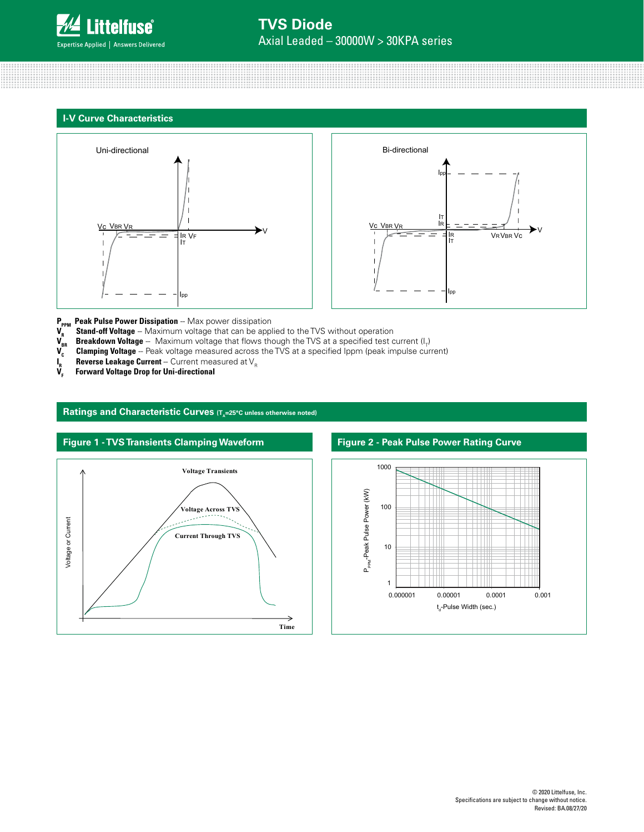

#### **I-V Curve Characteristics**





- **P<sub>PPM</sub> Peak Pulse Power Dissipation** Max power dissipation<br>V<sub>R</sub> Stand-off Voltage Maximum voltage that can be appl
- **V<sub>R</sub>** Stand-off Voltage -- Maximum voltage that can be applied to the TVS without operation<br>V<sub>R</sub> Breakdown Voltage -- Maximum voltage that flows though the TVS at a specified test c  $\bm V_{_{\sf BR}}$  **Breakdown Voltage** -- Maximum voltage that flows though the TVS at a specified test current (I<sub>7</sub>)
- $V_c^{\mu\nu}$  **Clamping Voltage** -- Peak voltage measured across the TVS at a specified Ippm (peak impulse current)
- **Reverse Leakage Current** -- Current measured at V<sub>R</sub>
- $\overline{V}_R$ **Forward Voltage Drop for Uni-directional**

# Ratings and Characteristic Curves (T<sub>A</sub>=25°C unless otherwise noted)



**Figure 2 - Peak Pulse Power Rating Curve**

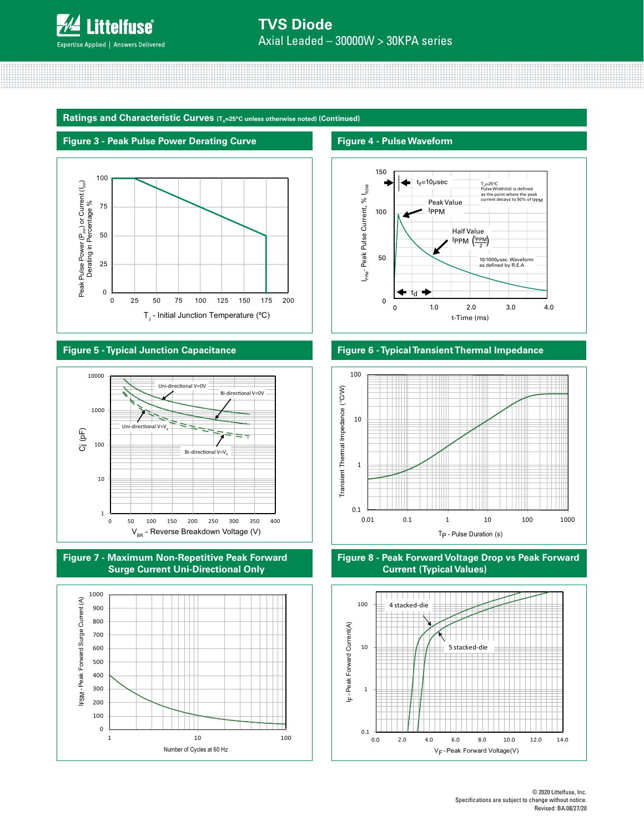

**Ratings and Characteristic Curves** (T<sub>A</sub>=25°C unless otherwise noted) (Continued)



# **Figure 5 - Typical Junction Capacitance**









#### **Figure 6 - Typical Transient Thermal Impedance**



# **Figure 8 - Peak Forward Voltage Drop vs Peak Forward Current (Typical Values)**

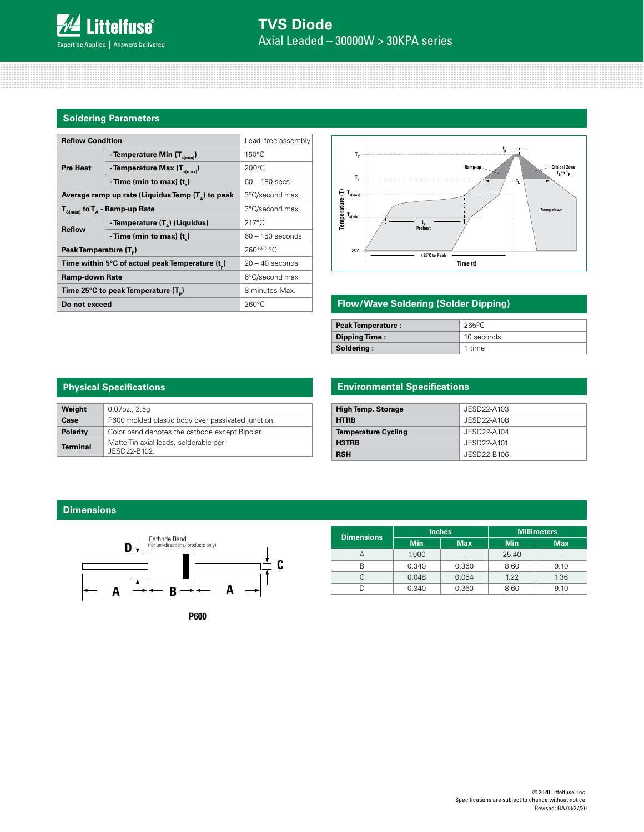# **Soldering Parameters**

| <b>Reflow Condition</b><br>Lead-free assembly              |                                                                     |                    |  |
|------------------------------------------------------------|---------------------------------------------------------------------|--------------------|--|
|                                                            | - Temperature Min $(T_{s(min)})$                                    | $150^{\circ}$ C    |  |
| <b>Pre Heat</b>                                            | - Temperature Max $(T_{\text{simax}})$                              | $200^{\circ}$ C    |  |
|                                                            | -Time (min to max) $(t_*)$                                          | $60 - 180$ secs    |  |
| Average ramp up rate (Liquidus Temp $(T_{\alpha})$ to peak | 3°C/second max                                                      |                    |  |
| $T_{S(max)}$ to $T_{A}$ - Ramp-up Rate                     | 3°C/second max                                                      |                    |  |
| <b>Reflow</b>                                              | - Temperature (T <sub>a</sub> ) (Liquidus)                          | $217^{\circ}$ C    |  |
|                                                            | - Time (min to max) $(t_$ )                                         | $60 - 150$ seconds |  |
| Peak Temperature (T <sub>n</sub> )                         |                                                                     | $260+0/5$ °C       |  |
|                                                            | Time within 5°C of actual peak Temperature (t)<br>$20 - 40$ seconds |                    |  |
| <b>Ramp-down Rate</b>                                      |                                                                     | 6°C/second max     |  |
| Time 25°C to peak Temperature (T <sub>a</sub> )            |                                                                     | 8 minutes Max.     |  |
| Do not exceed                                              |                                                                     | $260^{\circ}$ C    |  |



# **Flow/Wave Soldering (Solder Dipping)**

| <b>Peak Temperature:</b> | $265$ °C   |
|--------------------------|------------|
| Dipping Time:            | 10 seconds |
| Soldering:               | 1 time     |

| <b>Physical Specifications</b> |                                                       |  |  |  |
|--------------------------------|-------------------------------------------------------|--|--|--|
| Weight                         | $0.07$ oz., $2.5q$                                    |  |  |  |
| Case                           | P600 molded plastic body over passivated junction.    |  |  |  |
| Polarity                       | Color band denotes the cathode except Bipolar.        |  |  |  |
| <b>Terminal</b>                | Matte Tin axial leads, solderable per<br>JESD22-B102. |  |  |  |

# **Environmental Specifications**

| <b>High Temp. Storage</b>  | JESD22-A103 |
|----------------------------|-------------|
| <b>HTRB</b>                | JESD22-A108 |
| <b>Temperature Cycling</b> | JESD22-A104 |
| H3TRB                      | JESD22-A101 |
| <b>RSH</b>                 | JESD22-B106 |

## **Dimensions**



| <b>Dimensions</b> |            | <b>Inches</b>            | <b>Millimeters</b> |            |  |
|-------------------|------------|--------------------------|--------------------|------------|--|
|                   | <b>Min</b> | <b>Max</b>               | <b>Min</b>         | <b>Max</b> |  |
| А                 | 1.000      | $\overline{\phantom{a}}$ | 25.40              | -          |  |
| R                 | 0.340      | 0.360                    | 8.60               | 9.10       |  |
|                   | 0.048      | 0.054                    | 1.22               | 1.36       |  |
|                   | 0.340      | 0.360                    | 8.60               | 9.10       |  |
|                   |            |                          |                    |            |  |